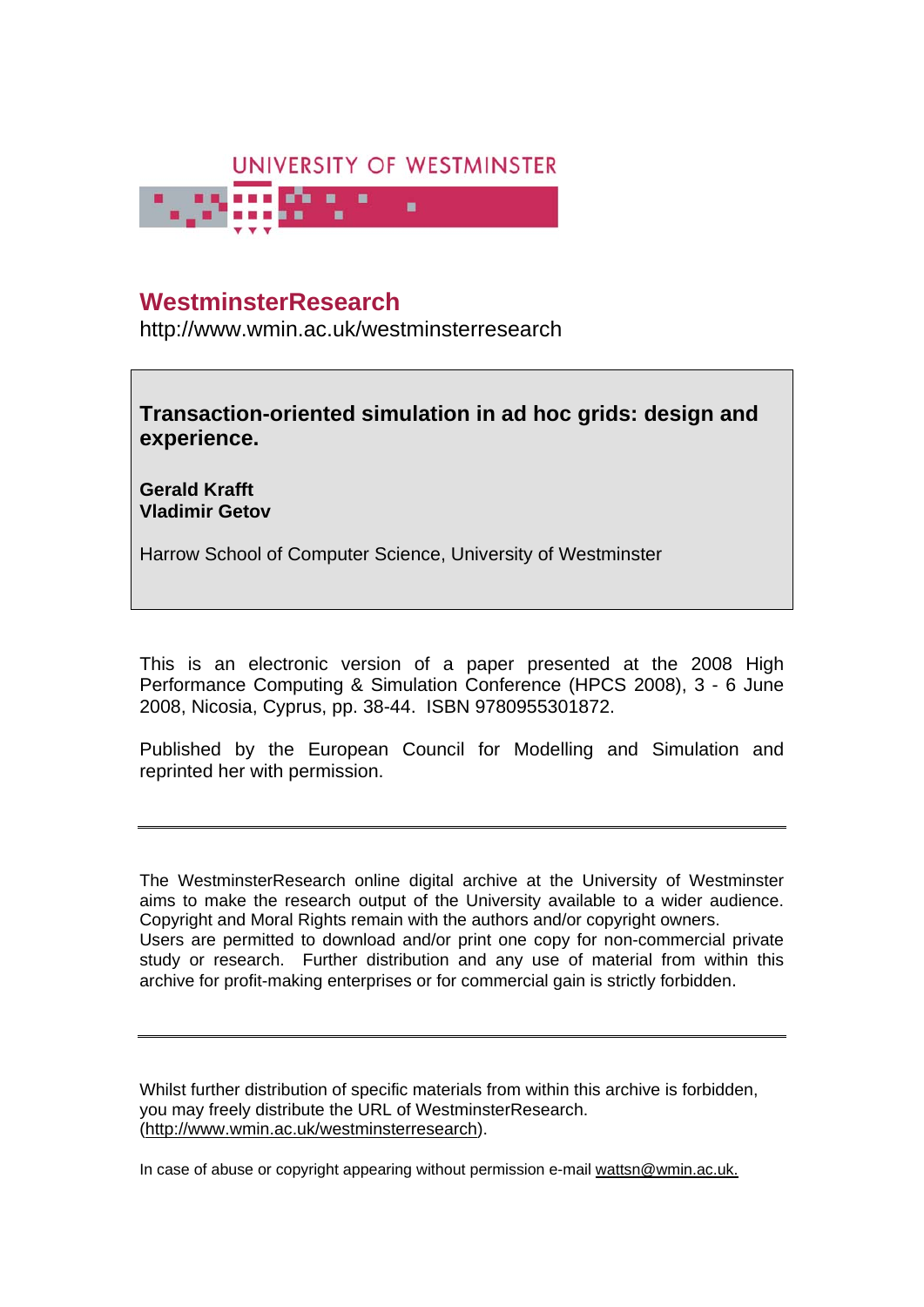

# **WestminsterResearch**

http://www.wmin.ac.uk/westminsterresearch

**Transaction-oriented simulation in ad hoc grids: design and experience.** 

**Gerald Krafft Vladimir Getov** 

Harrow School of Computer Science, University of Westminster

This is an electronic version of a paper presented at the 2008 High Performance Computing & Simulation Conference (HPCS 2008), 3 - 6 June 2008, Nicosia, Cyprus, pp. 38-44. ISBN 9780955301872.

Published by the European Council for Modelling and Simulation and reprinted her with permission.

The WestminsterResearch online digital archive at the University of Westminster aims to make the research output of the University available to a wider audience. Copyright and Moral Rights remain with the authors and/or copyright owners. Users are permitted to download and/or print one copy for non-commercial private study or research. Further distribution and any use of material from within this archive for profit-making enterprises or for commercial gain is strictly forbidden.

Whilst further distribution of specific materials from within this archive is forbidden, you may freely distribute the URL of WestminsterResearch. (http://www.wmin.ac.uk/westminsterresearch).

In case of abuse or copyright appearing without permission e-mail wattsn@wmin.ac.uk.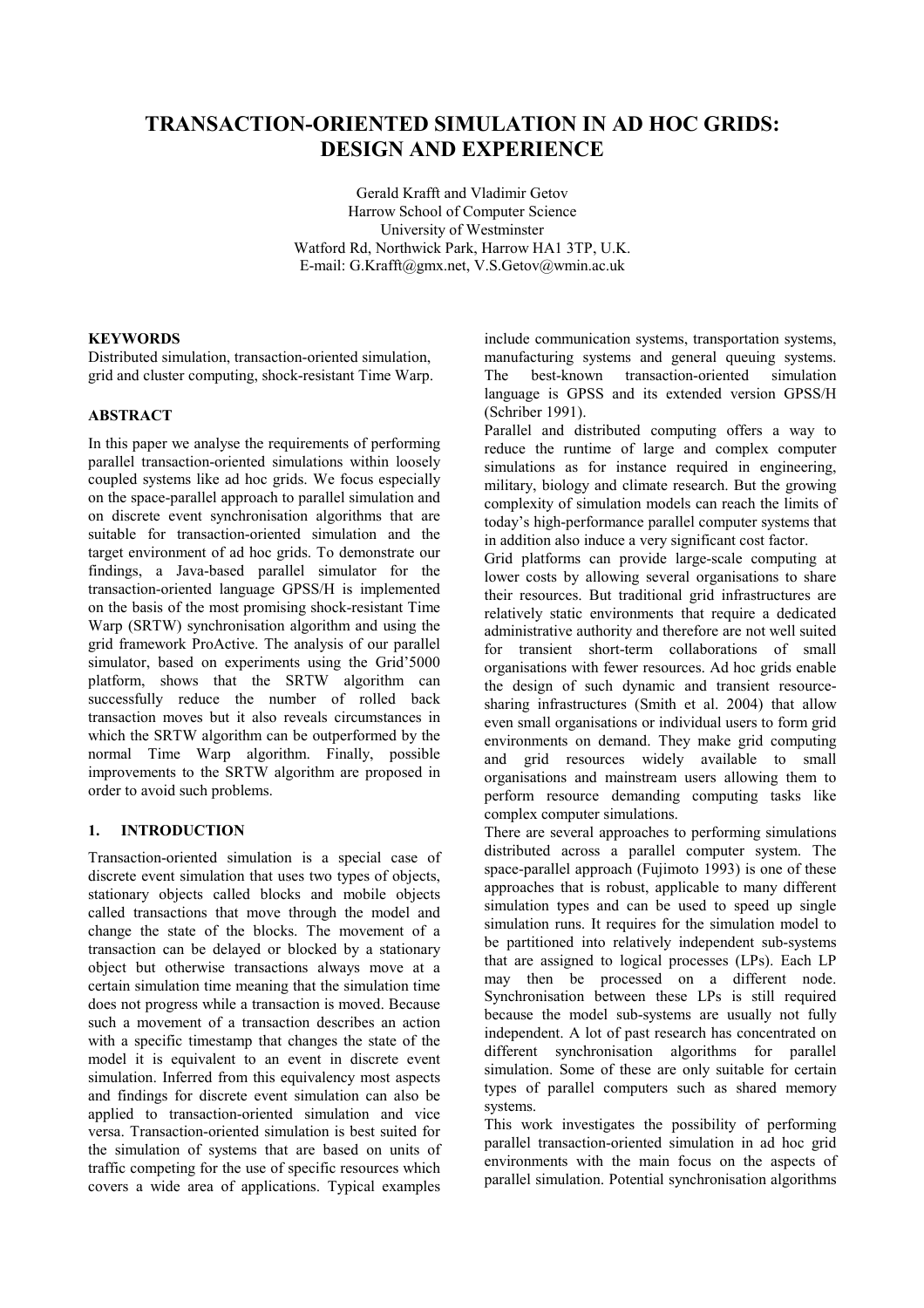## **TRANSACTION-ORIENTED SIMULATION IN AD HOC GRIDS: DESIGN AND EXPERIENCE**

Gerald Krafft and Vladimir Getov Harrow School of Computer Science University of Westminster Watford Rd, Northwick Park, Harrow HA1 3TP, U.K. E-mail: G.Krafft@gmx.net, V.S.Getov@wmin.ac.uk

## **KEYWORDS**

Distributed simulation, transaction-oriented simulation, grid and cluster computing, shock-resistant Time Warp.

## **ABSTRACT**

In this paper we analyse the requirements of performing parallel transaction-oriented simulations within loosely coupled systems like ad hoc grids. We focus especially on the space-parallel approach to parallel simulation and on discrete event synchronisation algorithms that are suitable for transaction-oriented simulation and the target environment of ad hoc grids. To demonstrate our findings, a Java-based parallel simulator for the transaction-oriented language GPSS/H is implemented on the basis of the most promising shock-resistant Time Warp (SRTW) synchronisation algorithm and using the grid framework ProActive. The analysis of our parallel simulator, based on experiments using the Grid'5000 platform, shows that the SRTW algorithm can successfully reduce the number of rolled back transaction moves but it also reveals circumstances in which the SRTW algorithm can be outperformed by the normal Time Warp algorithm. Finally, possible improvements to the SRTW algorithm are proposed in order to avoid such problems.

## **1. INTRODUCTION**

Transaction-oriented simulation is a special case of discrete event simulation that uses two types of objects, stationary objects called blocks and mobile objects called transactions that move through the model and change the state of the blocks. The movement of a transaction can be delayed or blocked by a stationary object but otherwise transactions always move at a certain simulation time meaning that the simulation time does not progress while a transaction is moved. Because such a movement of a transaction describes an action with a specific timestamp that changes the state of the model it is equivalent to an event in discrete event simulation. Inferred from this equivalency most aspects and findings for discrete event simulation can also be applied to transaction-oriented simulation and vice versa. Transaction-oriented simulation is best suited for the simulation of systems that are based on units of traffic competing for the use of specific resources which covers a wide area of applications. Typical examples include communication systems, transportation systems, manufacturing systems and general queuing systems. The best-known transaction-oriented simulation language is GPSS and its extended version GPSS/H (Schriber 1991).

Parallel and distributed computing offers a way to reduce the runtime of large and complex computer simulations as for instance required in engineering. military, biology and climate research. But the growing complexity of simulation models can reach the limits of today's high-performance parallel computer systems that in addition also induce a very significant cost factor.

Grid platforms can provide large-scale computing at lower costs by allowing several organisations to share their resources. But traditional grid infrastructures are relatively static environments that require a dedicated administrative authority and therefore are not well suited for transient short-term collaborations of small organisations with fewer resources. Ad hoc grids enable the design of such dynamic and transient resourcesharing infrastructures (Smith et al. 2004) that allow even small organisations or individual users to form grid environments on demand. They make grid computing and grid resources widely available to small organisations and mainstream users allowing them to perform resource demanding computing tasks like complex computer simulations.

There are several approaches to performing simulations distributed across a parallel computer system. The space-parallel approach (Fujimoto 1993) is one of these approaches that is robust, applicable to many different simulation types and can be used to speed up single simulation runs. It requires for the simulation model to be partitioned into relatively independent sub-systems that are assigned to logical processes (LPs). Each LP may then be processed on a different node. Synchronisation between these LPs is still required because the model sub-systems are usually not fully independent. A lot of past research has concentrated on different synchronisation algorithms for parallel simulation. Some of these are only suitable for certain types of parallel computers such as shared memory systems.

This work investigates the possibility of performing parallel transaction-oriented simulation in ad hoc grid environments with the main focus on the aspects of parallel simulation. Potential synchronisation algorithms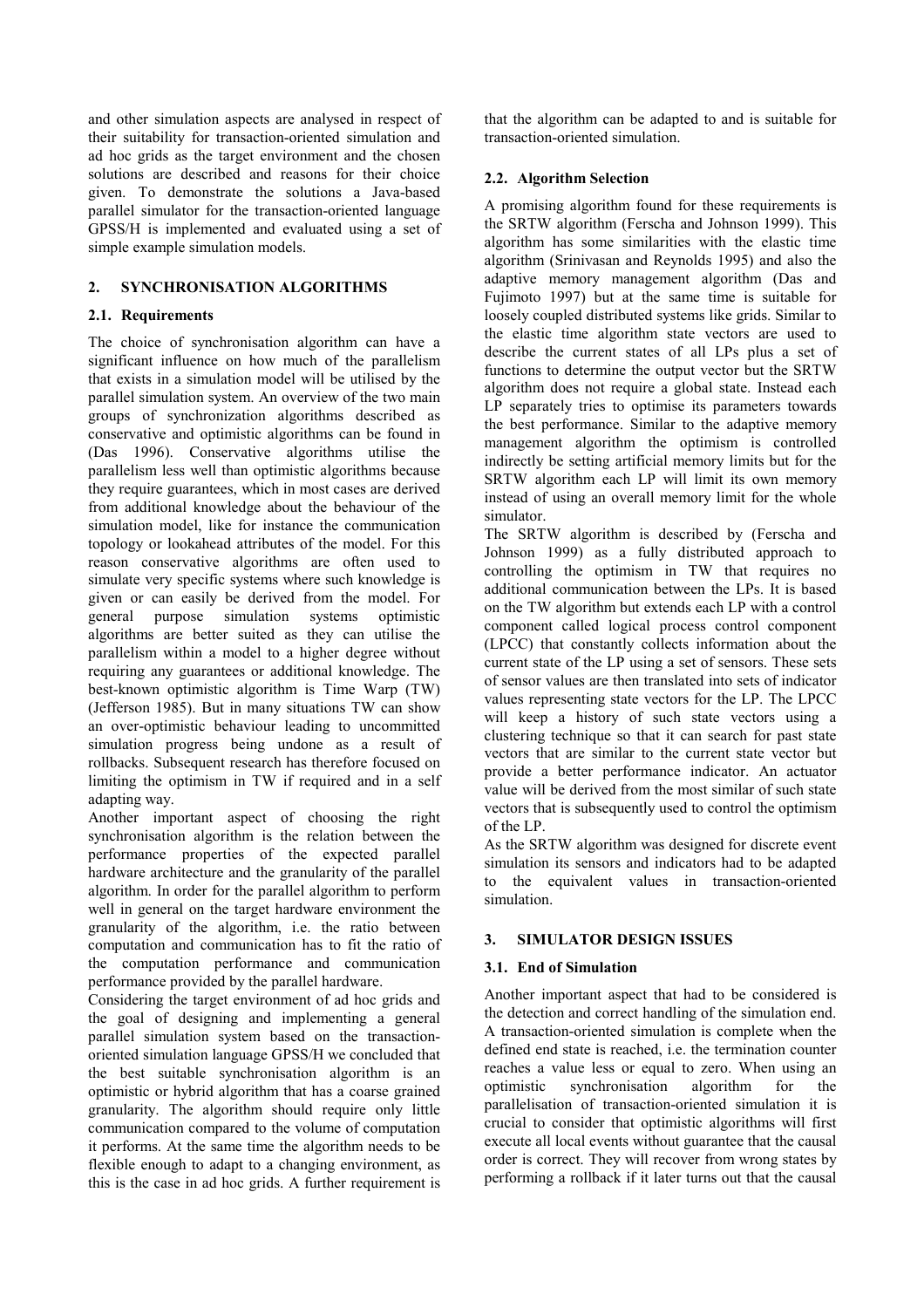and other simulation aspects are analysed in respect of their suitability for transaction-oriented simulation and ad hoc grids as the target environment and the chosen solutions are described and reasons for their choice given. To demonstrate the solutions a Java-based parallel simulator for the transaction-oriented language GPSS/H is implemented and evaluated using a set of simple example simulation models.

## **2. SYNCHRONISATION ALGORITHMS**

## **2.1. Requirements**

The choice of synchronisation algorithm can have a significant influence on how much of the parallelism that exists in a simulation model will be utilised by the parallel simulation system. An overview of the two main groups of synchronization algorithms described as conservative and optimistic algorithms can be found in (Das 1996). Conservative algorithms utilise the parallelism less well than optimistic algorithms because they require guarantees, which in most cases are derived from additional knowledge about the behaviour of the simulation model, like for instance the communication topology or lookahead attributes of the model. For this reason conservative algorithms are often used to simulate very specific systems where such knowledge is given or can easily be derived from the model. For general purpose simulation systems optimistic algorithms are better suited as they can utilise the parallelism within a model to a higher degree without requiring any guarantees or additional knowledge. The best-known optimistic algorithm is Time Warp (TW) (Jefferson 1985). But in many situations TW can show an over-optimistic behaviour leading to uncommitted simulation progress being undone as a result of rollbacks. Subsequent research has therefore focused on limiting the optimism in TW if required and in a self adapting way.

Another important aspect of choosing the right synchronisation algorithm is the relation between the performance properties of the expected parallel hardware architecture and the granularity of the parallel algorithm. In order for the parallel algorithm to perform well in general on the target hardware environment the granularity of the algorithm, i.e. the ratio between computation and communication has to fit the ratio of the computation performance and communication performance provided by the parallel hardware.

Considering the target environment of ad hoc grids and the goal of designing and implementing a general parallel simulation system based on the transactionoriented simulation language GPSS/H we concluded that the best suitable synchronisation algorithm is an optimistic or hybrid algorithm that has a coarse grained granularity. The algorithm should require only little communication compared to the volume of computation it performs. At the same time the algorithm needs to be flexible enough to adapt to a changing environment, as this is the case in ad hoc grids. A further requirement is that the algorithm can be adapted to and is suitable for transaction-oriented simulation.

## **2.2. Algorithm Selection**

A promising algorithm found for these requirements is the SRTW algorithm (Ferscha and Johnson 1999). This algorithm has some similarities with the elastic time algorithm (Srinivasan and Reynolds 1995) and also the adaptive memory management algorithm (Das and Fujimoto 1997) but at the same time is suitable for loosely coupled distributed systems like grids. Similar to the elastic time algorithm state vectors are used to describe the current states of all LPs plus a set of functions to determine the output vector but the SRTW algorithm does not require a global state. Instead each LP separately tries to optimise its parameters towards the best performance. Similar to the adaptive memory management algorithm the optimism is controlled indirectly be setting artificial memory limits but for the SRTW algorithm each LP will limit its own memory instead of using an overall memory limit for the whole simulator.

The SRTW algorithm is described by (Ferscha and Johnson 1999) as a fully distributed approach to controlling the optimism in TW that requires no additional communication between the LPs. It is based on the TW algorithm but extends each LP with a control component called logical process control component (LPCC) that constantly collects information about the current state of the LP using a set of sensors. These sets of sensor values are then translated into sets of indicator values representing state vectors for the LP. The LPCC will keep a history of such state vectors using a clustering technique so that it can search for past state vectors that are similar to the current state vector but provide a better performance indicator. An actuator value will be derived from the most similar of such state vectors that is subsequently used to control the optimism of the LP.

As the SRTW algorithm was designed for discrete event simulation its sensors and indicators had to be adapted to the equivalent values in transaction-oriented simulation.

## **3. SIMULATOR DESIGN ISSUES**

## **3.1. End of Simulation**

Another important aspect that had to be considered is the detection and correct handling of the simulation end. A transaction-oriented simulation is complete when the defined end state is reached, i.e. the termination counter reaches a value less or equal to zero. When using an optimistic synchronisation algorithm for the parallelisation of transaction-oriented simulation it is crucial to consider that optimistic algorithms will first execute all local events without guarantee that the causal order is correct. They will recover from wrong states by performing a rollback if it later turns out that the causal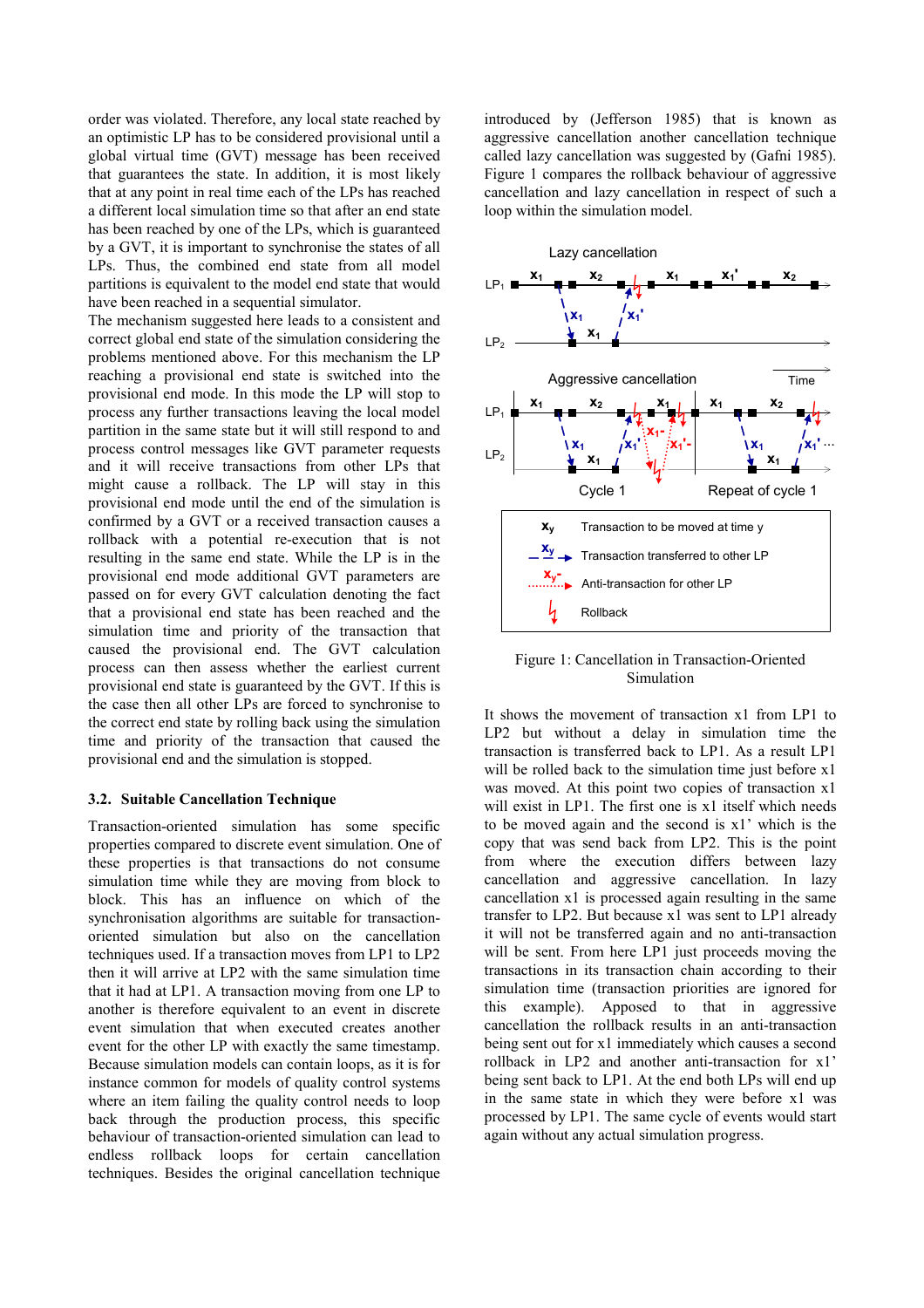order was violated. Therefore, any local state reached by an optimistic LP has to be considered provisional until a global virtual time (GVT) message has been received that guarantees the state. In addition, it is most likely that at any point in real time each of the LPs has reached a different local simulation time so that after an end state has been reached by one of the LPs, which is guaranteed by a GVT, it is important to synchronise the states of all LPs. Thus, the combined end state from all model partitions is equivalent to the model end state that would have been reached in a sequential simulator.

The mechanism suggested here leads to a consistent and correct global end state of the simulation considering the problems mentioned above. For this mechanism the LP reaching a provisional end state is switched into the provisional end mode. In this mode the LP will stop to process any further transactions leaving the local model partition in the same state but it will still respond to and process control messages like GVT parameter requests and it will receive transactions from other LPs that might cause a rollback. The LP will stay in this provisional end mode until the end of the simulation is confirmed by a GVT or a received transaction causes a rollback with a potential re-execution that is not resulting in the same end state. While the LP is in the provisional end mode additional GVT parameters are passed on for every GVT calculation denoting the fact that a provisional end state has been reached and the simulation time and priority of the transaction that caused the provisional end. The GVT calculation process can then assess whether the earliest current provisional end state is guaranteed by the GVT. If this is the case then all other LPs are forced to synchronise to the correct end state by rolling back using the simulation time and priority of the transaction that caused the provisional end and the simulation is stopped.

#### **3.2. Suitable Cancellation Technique**

Transaction-oriented simulation has some specific properties compared to discrete event simulation. One of these properties is that transactions do not consume simulation time while they are moving from block to block. This has an influence on which of the synchronisation algorithms are suitable for transactionoriented simulation but also on the cancellation techniques used. If a transaction moves from LP1 to LP2 then it will arrive at LP2 with the same simulation time that it had at LP1. A transaction moving from one LP to another is therefore equivalent to an event in discrete event simulation that when executed creates another event for the other LP with exactly the same timestamp. Because simulation models can contain loops, as it is for instance common for models of quality control systems where an item failing the quality control needs to loop back through the production process, this specific behaviour of transaction-oriented simulation can lead to endless rollback loops for certain cancellation techniques. Besides the original cancellation technique

introduced by (Jefferson 1985) that is known as aggressive cancellation another cancellation technique called lazy cancellation was suggested by (Gafni 1985). Figure 1 compares the rollback behaviour of aggressive cancellation and lazy cancellation in respect of such a loop within the simulation model.



Figure 1: Cancellation in Transaction-Oriented Simulation

It shows the movement of transaction x1 from LP1 to LP2 but without a delay in simulation time the transaction is transferred back to LP1. As a result LP1 will be rolled back to the simulation time just before x1 was moved. At this point two copies of transaction x1 will exist in LP1. The first one is x1 itself which needs to be moved again and the second is x1' which is the copy that was send back from LP2. This is the point from where the execution differs between lazy cancellation and aggressive cancellation. In lazy cancellation x1 is processed again resulting in the same transfer to LP2. But because x1 was sent to LP1 already it will not be transferred again and no anti-transaction will be sent. From here LP1 just proceeds moving the transactions in its transaction chain according to their simulation time (transaction priorities are ignored for this example). Apposed to that in aggressive cancellation the rollback results in an anti-transaction being sent out for x1 immediately which causes a second rollback in LP2 and another anti-transaction for x1' being sent back to LP1. At the end both LPs will end up in the same state in which they were before x1 was processed by LP1. The same cycle of events would start again without any actual simulation progress.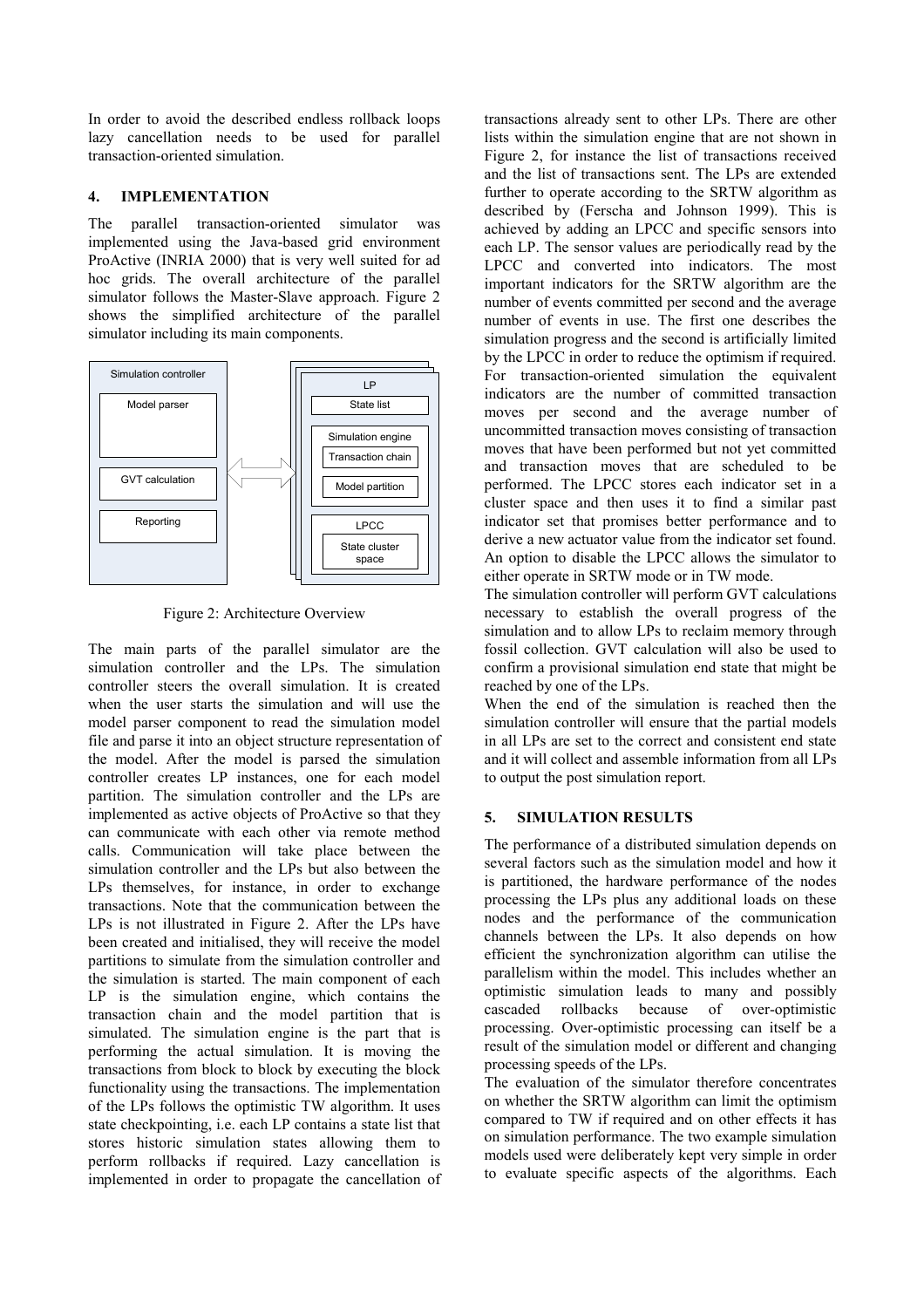In order to avoid the described endless rollback loops lazy cancellation needs to be used for parallel transaction-oriented simulation.

## **4. IMPLEMENTATION**

The parallel transaction-oriented simulator was implemented using the Java-based grid environment ProActive (INRIA 2000) that is very well suited for ad hoc grids. The overall architecture of the parallel simulator follows the Master-Slave approach. Figure 2 shows the simplified architecture of the parallel simulator including its main components.



Figure 2: Architecture Overview

The main parts of the parallel simulator are the simulation controller and the LPs. The simulation controller steers the overall simulation. It is created when the user starts the simulation and will use the model parser component to read the simulation model file and parse it into an object structure representation of the model. After the model is parsed the simulation controller creates LP instances, one for each model partition. The simulation controller and the LPs are implemented as active objects of ProActive so that they can communicate with each other via remote method calls. Communication will take place between the simulation controller and the LPs but also between the LPs themselves, for instance, in order to exchange transactions. Note that the communication between the LPs is not illustrated in Figure 2. After the LPs have been created and initialised, they will receive the model partitions to simulate from the simulation controller and the simulation is started. The main component of each LP is the simulation engine, which contains the transaction chain and the model partition that is simulated. The simulation engine is the part that is performing the actual simulation. It is moving the transactions from block to block by executing the block functionality using the transactions. The implementation of the LPs follows the optimistic TW algorithm. It uses state checkpointing, i.e. each LP contains a state list that stores historic simulation states allowing them to perform rollbacks if required. Lazy cancellation is implemented in order to propagate the cancellation of transactions already sent to other LPs. There are other lists within the simulation engine that are not shown in Figure 2, for instance the list of transactions received and the list of transactions sent. The LPs are extended further to operate according to the SRTW algorithm as described by (Ferscha and Johnson 1999). This is achieved by adding an LPCC and specific sensors into each LP. The sensor values are periodically read by the LPCC and converted into indicators. The most important indicators for the SRTW algorithm are the number of events committed per second and the average number of events in use. The first one describes the simulation progress and the second is artificially limited by the LPCC in order to reduce the optimism if required. For transaction-oriented simulation the equivalent indicators are the number of committed transaction moves per second and the average number of uncommitted transaction moves consisting of transaction moves that have been performed but not yet committed and transaction moves that are scheduled to be performed. The LPCC stores each indicator set in a cluster space and then uses it to find a similar past indicator set that promises better performance and to derive a new actuator value from the indicator set found. An option to disable the LPCC allows the simulator to either operate in SRTW mode or in TW mode.

The simulation controller will perform GVT calculations necessary to establish the overall progress of the simulation and to allow LPs to reclaim memory through fossil collection. GVT calculation will also be used to confirm a provisional simulation end state that might be reached by one of the LPs.

When the end of the simulation is reached then the simulation controller will ensure that the partial models in all LPs are set to the correct and consistent end state and it will collect and assemble information from all LPs to output the post simulation report.

## **5. SIMULATION RESULTS**

The performance of a distributed simulation depends on several factors such as the simulation model and how it is partitioned, the hardware performance of the nodes processing the LPs plus any additional loads on these nodes and the performance of the communication channels between the LPs. It also depends on how efficient the synchronization algorithm can utilise the parallelism within the model. This includes whether an optimistic simulation leads to many and possibly cascaded rollbacks because of over-optimistic processing. Over-optimistic processing can itself be a result of the simulation model or different and changing processing speeds of the LPs.

The evaluation of the simulator therefore concentrates on whether the SRTW algorithm can limit the optimism compared to TW if required and on other effects it has on simulation performance. The two example simulation models used were deliberately kept very simple in order to evaluate specific aspects of the algorithms. Each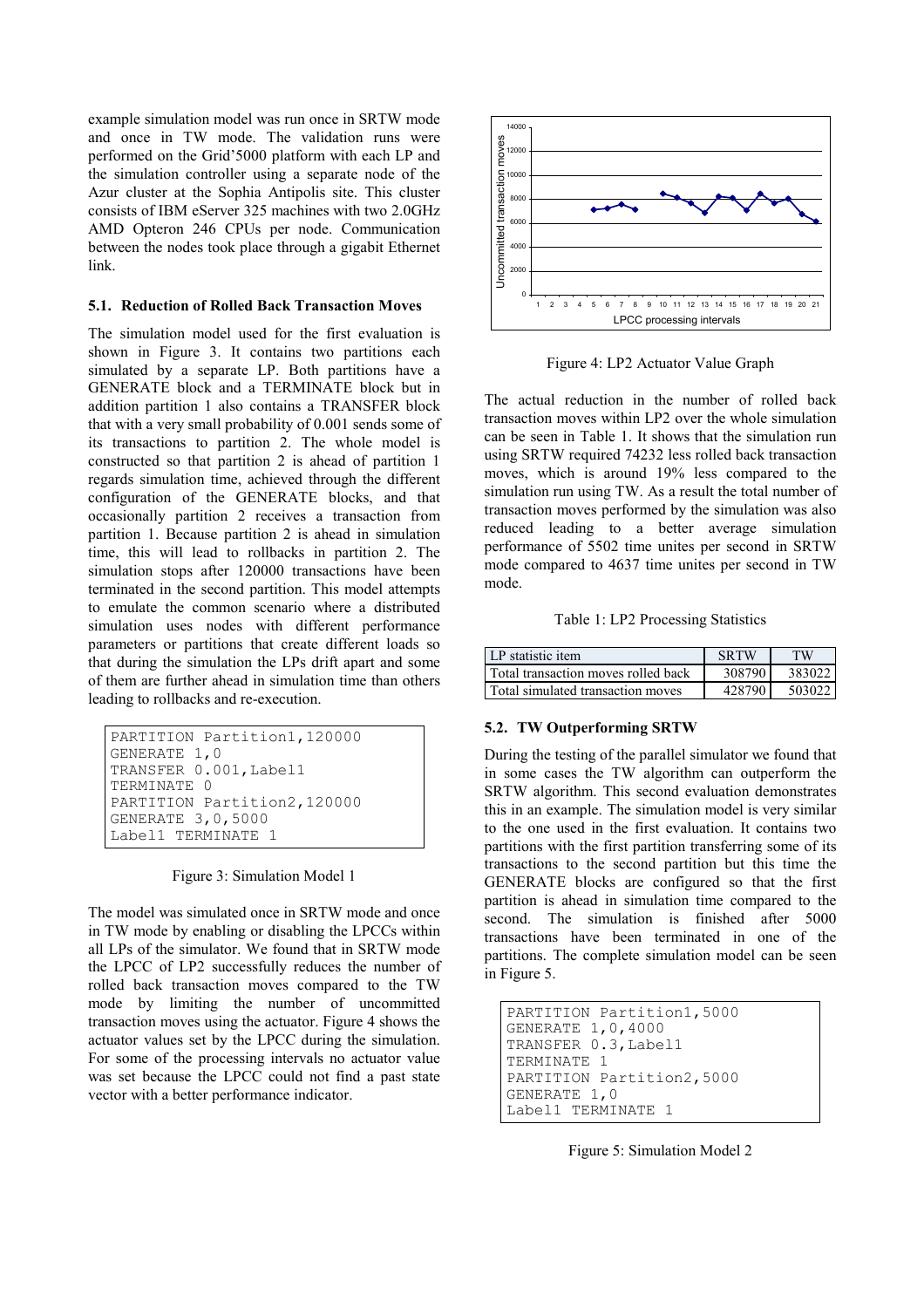example simulation model was run once in SRTW mode and once in TW mode. The validation runs were performed on the Grid'5000 platform with each LP and the simulation controller using a separate node of the Azur cluster at the Sophia Antipolis site. This cluster consists of IBM eServer 325 machines with two 2.0GHz AMD Opteron 246 CPUs per node. Communication between the nodes took place through a gigabit Ethernet link.

## **5.1. Reduction of Rolled Back Transaction Moves**

The simulation model used for the first evaluation is shown in Figure 3. It contains two partitions each simulated by a separate LP. Both partitions have a GENERATE block and a TERMINATE block but in addition partition 1 also contains a TRANSFER block that with a very small probability of 0.001 sends some of its transactions to partition 2. The whole model is constructed so that partition 2 is ahead of partition 1 regards simulation time, achieved through the different configuration of the GENERATE blocks, and that occasionally partition 2 receives a transaction from partition 1. Because partition 2 is ahead in simulation time, this will lead to rollbacks in partition 2. The simulation stops after 120000 transactions have been terminated in the second partition. This model attempts to emulate the common scenario where a distributed simulation uses nodes with different performance parameters or partitions that create different loads so that during the simulation the LPs drift apart and some of them are further ahead in simulation time than others leading to rollbacks and re-execution.

```
PARTITION Partition1, 120000
GENERATE 1,0 
TRANSFER 0.001,Label1 
TERMINATE 0 
PARTITION Partition2,120000 
GENERATE 3,0,5000 
Label1 TERMINATE 1
```
Figure 3: Simulation Model 1

The model was simulated once in SRTW mode and once in TW mode by enabling or disabling the LPCCs within all LPs of the simulator. We found that in SRTW mode the LPCC of LP2 successfully reduces the number of rolled back transaction moves compared to the TW mode by limiting the number of uncommitted transaction moves using the actuator. Figure 4 shows the actuator values set by the LPCC during the simulation. For some of the processing intervals no actuator value was set because the LPCC could not find a past state vector with a better performance indicator.



Figure 4: LP2 Actuator Value Graph

The actual reduction in the number of rolled back transaction moves within LP2 over the whole simulation can be seen in Table 1. It shows that the simulation run using SRTW required 74232 less rolled back transaction moves, which is around 19% less compared to the simulation run using TW. As a result the total number of transaction moves performed by the simulation was also reduced leading to a better average simulation performance of 5502 time unites per second in SRTW mode compared to 4637 time unites per second in TW mode.

Table 1: LP2 Processing Statistics

| LP statistic item                   | <b>SRTW</b> | TW     |
|-------------------------------------|-------------|--------|
| Total transaction moves rolled back | 308790      | 383022 |
| Total simulated transaction moves   | 428790      | 503022 |

## **5.2. TW Outperforming SRTW**

During the testing of the parallel simulator we found that in some cases the TW algorithm can outperform the SRTW algorithm. This second evaluation demonstrates this in an example. The simulation model is very similar to the one used in the first evaluation. It contains two partitions with the first partition transferring some of its transactions to the second partition but this time the GENERATE blocks are configured so that the first partition is ahead in simulation time compared to the second. The simulation is finished after 5000 transactions have been terminated in one of the partitions. The complete simulation model can be seen in Figure 5.

```
PARTITION Partition1,5000 
GENERATE 1,0,4000 
TRANSFER 0.3,Label1 
TERMINATE 1 
PARTITION Partition2,5000 
GENERATE 1,0 
Label1 TERMINATE 1
```
Figure 5: Simulation Model 2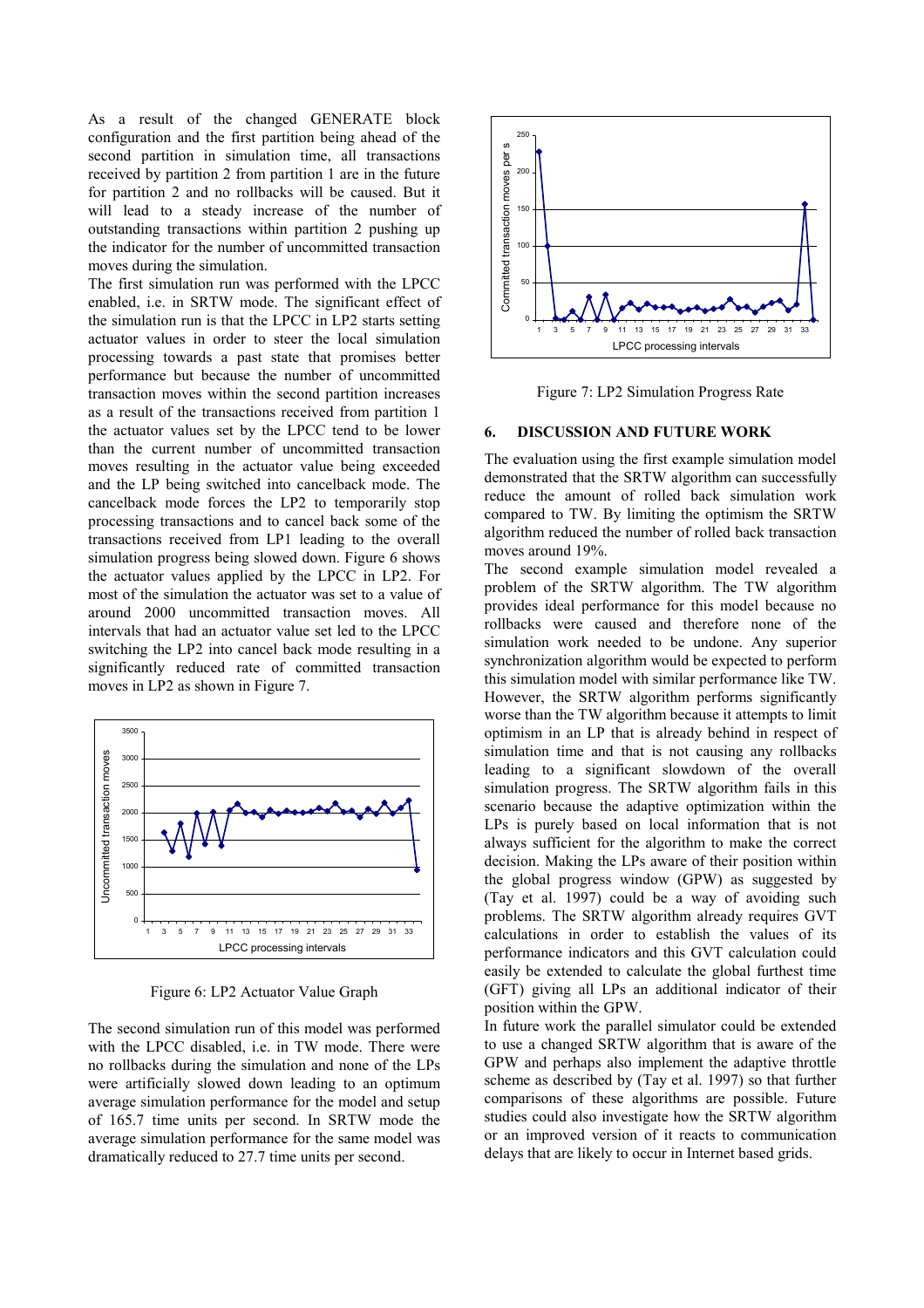As a result of the changed GENERATE block configuration and the first partition being ahead of the second partition in simulation time, all transactions received by partition 2 from partition 1 are in the future for partition 2 and no rollbacks will be caused. But it will lead to a steady increase of the number of outstanding transactions within partition 2 pushing up the indicator for the number of uncommitted transaction moves during the simulation.

The first simulation run was performed with the LPCC enabled, i.e. in SRTW mode. The significant effect of the simulation run is that the LPCC in LP2 starts setting actuator values in order to steer the local simulation processing towards a past state that promises better performance but because the number of uncommitted transaction moves within the second partition increases as a result of the transactions received from partition 1 the actuator values set by the LPCC tend to be lower than the current number of uncommitted transaction moves resulting in the actuator value being exceeded and the LP being switched into cancelback mode. The cancelback mode forces the LP2 to temporarily stop processing transactions and to cancel back some of the transactions received from LP1 leading to the overall simulation progress being slowed down. Figure 6 shows the actuator values applied by the LPCC in LP2. For most of the simulation the actuator was set to a value of around 2000 uncommitted transaction moves. All intervals that had an actuator value set led to the LPCC switching the LP2 into cancel back mode resulting in a significantly reduced rate of committed transaction moves in LP2 as shown in Figure 7.



Figure 6: LP2 Actuator Value Graph

The second simulation run of this model was performed with the LPCC disabled, i.e. in TW mode. There were no rollbacks during the simulation and none of the LPs were artificially slowed down leading to an optimum average simulation performance for the model and setup of 165.7 time units per second. In SRTW mode the average simulation performance for the same model was dramatically reduced to 27.7 time units per second.



Figure 7: LP2 Simulation Progress Rate

## **6. DISCUSSION AND FUTURE WORK**

The evaluation using the first example simulation model demonstrated that the SRTW algorithm can successfully reduce the amount of rolled back simulation work compared to TW. By limiting the optimism the SRTW algorithm reduced the number of rolled back transaction moves around 19%.

The second example simulation model revealed a problem of the SRTW algorithm. The TW algorithm provides ideal performance for this model because no rollbacks were caused and therefore none of the simulation work needed to be undone. Any superior synchronization algorithm would be expected to perform this simulation model with similar performance like TW. However, the SRTW algorithm performs significantly worse than the TW algorithm because it attempts to limit optimism in an LP that is already behind in respect of simulation time and that is not causing any rollbacks leading to a significant slowdown of the overall simulation progress. The SRTW algorithm fails in this scenario because the adaptive optimization within the LPs is purely based on local information that is not always sufficient for the algorithm to make the correct decision. Making the LPs aware of their position within the global progress window (GPW) as suggested by (Tay et al. 1997) could be a way of avoiding such problems. The SRTW algorithm already requires GVT calculations in order to establish the values of its performance indicators and this GVT calculation could easily be extended to calculate the global furthest time (GFT) giving all LPs an additional indicator of their position within the GPW.

In future work the parallel simulator could be extended to use a changed SRTW algorithm that is aware of the GPW and perhaps also implement the adaptive throttle scheme as described by (Tay et al. 1997) so that further comparisons of these algorithms are possible. Future studies could also investigate how the SRTW algorithm or an improved version of it reacts to communication delays that are likely to occur in Internet based grids.